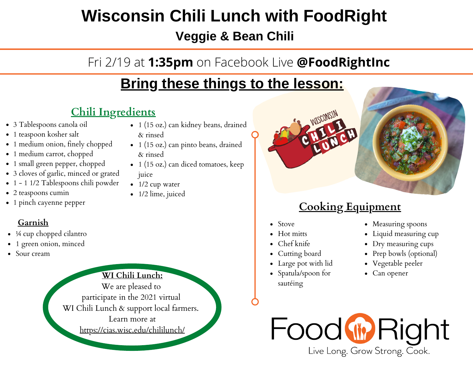## **Wisconsin Chili Lunch with FoodRight**

**Veggie & Bean Chili**

### Fri 2/19 at **1:35pm** on Facebook Live **@FoodRightInc**

## **Bring these things to the lesson:**

#### **Chili Ingredients**

- 3 Tablespoons canola oil
- 1 teaspoon kosher salt
- 1 medium onion, finely chopped
- 1 medium carrot, chopped
- 1 small green pepper, chopped
- 3 cloves of garlic, minced or grated
- 1 1 1/2 Tablespoons chili powder
- 2 teaspoons cumin
- 1 pinch cayenne pepper

#### **Garnish**

- ¼ cup chopped cilantro
- 1 green onion, minced
- Sour cream

**WI Chili [Lunch:](https://cias.wisc.edu/chililunch)** We are [pleased](https://cias.wisc.edu/chililunch) t[o](https://cias.wisc.edu/chililunch) [participate](https://cias.wisc.edu/chililunch) in the 2021 virtua[l](https://cias.wisc.edu/chililunch) WI Chili Lunch & support local [farmers.](https://cias.wisc.edu/chililunch) [Learn](https://cias.wisc.edu/chililunch) more at [https://cias.wisc.edu/chililunch/](https://cias.wisc.edu/chililunch)

- 1 (15 oz.) can kidney beans, drained & rinsed
- 1 (15 oz.) can pinto beans, drained & rinsed
- 1 (15 oz.) can diced tomatoes, keep juice
- $\bullet$  1/2 cup water
- 1/2 lime, juiced



#### **Cooking Equipment**

- Stove
- Hot mitts
- Chef knife
- Cutting board
- Large pot with lid
- Spatula/spoon for sautéing
- Measuring spoons
- Liquid measuring cup
- Dry measuring cups
- Prep bowls (optional)
- Vegetable peeler
- Can opener